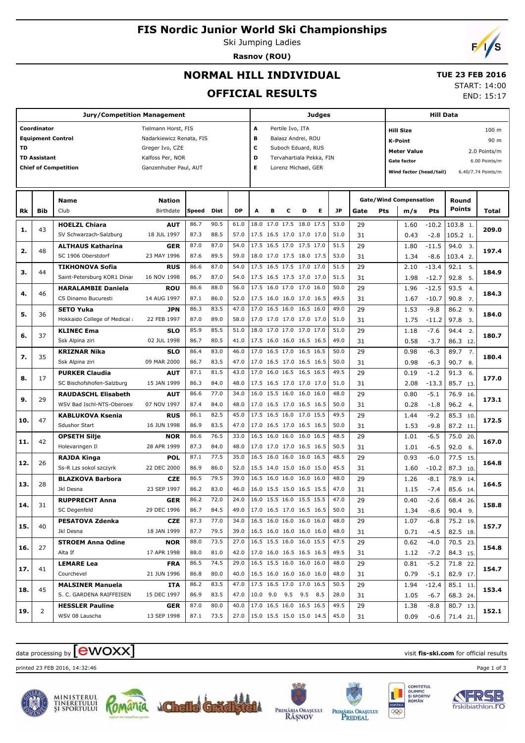# **FIS Nordic Junior World Ski Championships**

Ski Jumping Ladies **Rasnov (ROU)**



END: 15:17

## **NORMAL HILL INDIVIDUAL**

#### **TUE 23 FEB 2016** START: 14:00

**OFFICIAL RESULTS**

| Coordinator<br>Pertile Ivo, ITA<br>Tielmann Horst, FIS<br>А<br><b>Hill Size</b><br>100 m<br><b>Equipment Control</b><br>в<br>Nadarkiewicz Renata, FIS<br>Balasz Andrei, ROU<br>90 m<br><b>K-Point</b><br>C<br><b>TD</b><br>Greger Ivo, CZE<br>Suboch Eduard, RUS<br><b>Meter Value</b><br>2.0 Points/m<br><b>TD Assistant</b><br>D<br>Kalfoss Per, NOR<br>Tervahartiala Pekka, FIN<br><b>Gate factor</b><br>6.00 Points/m<br>Е<br><b>Chief of Competition</b><br>Ganzenhuber Paul, AUT<br>Lorenz Michael, GER<br>Wind factor (head/tail)<br>6.40/7.74 Points/m<br><b>Gate/Wind Compensation</b><br><b>Name</b><br><b>Nation</b><br>Round<br><b>Points</b><br>E.<br><b>JP</b><br>Club<br>Birthdate<br>Speed<br><b>DP</b><br>Rk<br>Bib<br><b>Dist</b><br>A<br>в<br>c<br>D<br>Gate<br>Pts<br>m/s<br>Pts<br>Total<br>90.5<br>53.0<br><b>HOELZL Chiara</b><br>86.7<br>61.0<br>18.0 17.0 17.5 18.0 17.5<br>29<br>103.8 1.<br><b>AUT</b><br>1.60<br>$-10.2$<br>43<br>209.0<br>1.<br>SV Schwarzach-Salzburg<br>18 JUL 1997<br>87.3<br>88.5<br>57.0<br>17.5 16.5 17.0 17.0 17.0<br>51.0<br>31<br>$-2.8$<br>0.43<br>105.2 1.<br>54.0<br>17.5 16.5 17.0 17.5 17.0<br>29<br>87.0<br>87.0<br>51.5<br>$-11.5$<br>94.0<br>1.80<br>3.<br><b>ALTHAUS Katharina</b><br>GER<br>48<br>2.<br>197.4<br>SC 1906 Oberstdorf<br>23 MAY 1996<br>87.6<br>89.5<br>59.0<br>18.0 17.0 17.5 18.0 17.5<br>53.0<br>31<br>$-8.6$<br>103.4 2.<br>1.34<br>54.0<br>17.5 16.5 17.5 17.0 17.0<br>51.5<br>86.6<br>87.0<br>29<br>$-13.4$<br>92.1 5.<br><b>RUS</b><br>2.10<br><b>TIKHONOVA Sofia</b><br>44<br>з.<br>184.9<br>16 NOV 1998<br>86.7<br>87.0<br>54.0<br>17.5 16.5 17.5 17.0 17.0<br>51.5<br>31<br>92.8<br>Saint-Petersburg KOR1 Dinar<br>1.98<br>$-12.7$<br>5.<br>56.0<br>29<br>86.6<br>88.0<br>17.5 16.0 17.0 17.0 16.0<br>50.0<br>$-12.5$<br>93.5<br><b>HARALAMBIE Daniela</b><br><b>ROU</b><br>1.96<br>4.<br>46<br>4.<br>184.3<br>49.5<br>CS Dinamo Bucuresti<br>14 AUG 1997<br>87.1<br>86.0<br>52.0<br>17.5 16.0 16.0 17.0 16.5<br>31<br>1.67<br>90.8<br>$-10.7$<br>$\overline{7}$ .<br>17.0 16.5 16.0 16.5 16.0<br>86.3<br>83.5<br>47.0<br>49.0<br>29<br>$-9.8$<br>86.2 9.<br><b>SETO Yuka</b><br><b>JPN</b><br>1.53<br>36<br>5.<br>184.0<br>Hokkaido College of Medical<br>22 FEB 1997<br>87.0<br>89.0<br>58.0<br>17.0 17.0 17.0 17.0 17.0<br>51.0<br>31<br>97.8<br>1.75<br>$-11.2$<br>3.<br>51.0<br>85.9<br>85.5<br>18.0 17.0 17.0 17.0 17.0<br>51.0<br>29<br>$-7.6$<br>94.4 2.<br><b>KLINEC Ema</b><br><b>SLO</b><br>1.18<br>37<br>6.<br>180.7<br>02 JUL 1998<br>86.7<br>80.5<br>41.0<br>17.5 16.0 16.0 16.5 16.5<br>49.0<br>31<br>0.58<br>$-3.7$<br>86.3 12.<br>Ssk Alpina ziri<br>17.0 16.5 17.0 16.5 16.5<br>86.4<br>83.0<br>46.0<br>50.0<br>29<br>$-6.3$<br>89.7<br>$\overline{7}$ .<br><b>KRIZNAR Nika</b><br><b>SLO</b><br>0.98<br>35<br>7.<br>180.4<br>Ssk Alpina ziri<br>09 MAR 2000<br>86.7<br>83.5<br>47.0<br>17.0 16.5 17.0 16.5 16.5<br>50.0<br>31<br>$-6.3$<br>90.7 8.<br>0.98<br>87.1<br>81.5<br>43.0<br>17.0 16.0 16.5 16.5 16.5<br>49.5<br>29<br>$-1.2$<br>91.3<br><b>PURKER Claudia</b><br><b>AUT</b><br>0.19<br>6.<br>17<br>8.<br>177.0<br>SC Bischofshofen-Salzburg<br>15 JAN 1999<br>86.3<br>84.0<br>48.0<br>17.5 16.5 17.0 17.0 17.0<br>51.0<br>31<br>85.7 13.<br>2.08<br>$-13.3$<br>86.6<br>77.0<br>34.0<br>16.0 15.5 16.0 16.0 16.0<br>48.0<br>29<br>$-5.1$<br><b>RAUDASCHL Elisabeth</b><br><b>AUT</b><br>0.80<br>76.9 16.<br>29<br>9.<br>173.1<br>WSV Bad Ischl-NTS-Oberoes<br>07 NOV 1997<br>87.4<br>84.0<br>48.0<br>17.0 16.5 17.0 16.5 16.5<br>50.0<br>31<br>96.2 4.<br>0.28<br>$-1.8$<br>17.5 16.5 16.0 17.0 15.5<br>86.1<br>82.5<br>45.0<br>49.5<br>29<br>$-9.2$<br>85.3 10.<br><b>KABLUKOVA Ksenia</b><br><b>RUS</b><br>1.44<br>47<br>172.5<br>10.<br>Sdushor Start<br>16 JUN 1998<br>86.9<br>83.5<br>47.0<br>17.0 16.5 17.0 16.5 16.5<br>50.0<br>31<br>$-9.8$<br>87.2 11.<br>1.53<br>86.6<br>76.5<br>33.0<br>16.5 16.0 16.0 16.0 16.5<br>48.5<br>29<br>$-6.5$<br><b>OPSETH Silje</b><br><b>NOR</b><br>1.01<br>75.0 20.<br>42<br>167.0<br>11.<br>Holevaringen II<br>28 APR 1999<br>87.3<br>84.0<br>48.0<br>17.0 17.0 17.0 16.5 16.5<br>50.5<br>31<br>$-6.5$<br>92.0<br>1.01<br>6.<br>87.1<br>77.5<br>35.0<br>16.5 16.0 16.0 16.0 16.5<br>48.5<br>29<br>$-6.0$<br>77.5 15.<br><b>POL</b><br>0.93<br>RAJDA Kinga<br>26<br>164.8<br>12.<br>45.5<br>Ss-R Lzs sokol szczyrk<br>22 DEC 2000<br>86.9<br>86.0<br>52.0<br>15.5 14.0 15.0 16.0 15.0<br>31<br>87.3 10.<br>1.60<br>$-10.2$<br>86.5<br>79.5<br>39.0<br>16.5 16.0 16.0 16.0 16.0<br>48.0<br>29<br>$-8.1$<br>78.9 14.<br><b>BLAZKOVA Barbora</b><br><b>CZE</b><br>1.26<br>28<br>164.5<br>13.<br>23 SEP 1997<br>86.2<br>83.0<br>46.0<br>16.0 15.5 15.0 16.5 15.5<br>47.0<br>31<br>1.15<br>$-7.4$<br>85.6 14.<br>Jkl Desna<br>72.0<br>86.2<br>24.0<br>16.0 15.5 16.0 15.5 15.5<br>47.0<br>29<br>0.40<br>$-2.6$<br>68.4 26.<br><b>RUPPRECHT Anna</b><br><b>GER</b><br>158.8<br>14.<br>31<br>17.0 16.5 17.0 16.5 16.5<br>SC Degenfeld<br>29 DEC 1996<br>86.7<br>84.5<br>49.0<br>50.0<br>31<br>1.34<br>$-8.6$<br>90.4 9.<br>77.0<br>16.5 16.0 16.0 16.0 16.0<br>87.3<br>34.0<br>48.0<br>29<br>75.2 19.<br><b>PESATOVA Zdenka</b><br><b>CZE</b><br>1.07<br>$-6.8$<br>40<br>15.<br>157.7<br>79.5<br>Jkl Desna<br>18 JAN 1999<br>87.7<br>39.0<br>16.5 16.0 16.0 16.0 16.0<br>48.0<br>31<br>82.5 18.<br>0.71<br>$-4.5$<br>16.5 15.5 16.0 16.0 15.5<br>88.0<br>73.5<br>27.0<br>47.5<br><b>STROEM Anna Odine</b><br><b>NOR</b><br>29<br>0.62<br>$-4.0$<br>70.5 23.<br>27<br>154.8<br>16.<br>17.0 16.0 16.5 16.5 16.5<br>Alta If<br>17 APR 1998<br>88.0<br>81.0<br>42.0<br>49.5<br>31<br>1.12<br>84.3 15.<br>$-7.2$<br>16.5 15.5 16.0 16.0 16.0<br>86.5<br>74.5<br>29.0<br>48.0<br><b>LEMARE Lea</b><br><b>FRA</b><br>29<br>0.81<br>$-5.2$<br>71.8 22.<br>41<br>154.7<br>17.<br>Courchevel<br>21 JUN 1996<br>86.8<br>80.0<br>40.0<br>16.5 16.0 16.0 16.0 16.0<br>48.0<br>0.79<br>82.9 17.<br>31<br>$-5.1$<br>17.5 16.5 17.0 17.0 16.5<br>86.2<br>83.5<br>50.5<br>47.0<br><b>MALSINER Manuela</b><br>29<br>85.1 11.<br>ITA<br>1.94<br>$-12.4$<br>45<br>153.4<br>18.<br>S. C. GARDENA RAIFFEISEN<br>15 DEC 1997<br>86.9<br>83.5<br>47.0<br>10.0 9.0 9.5 9.5 8.5<br>28.0<br>31<br>1.05<br>$-6.7$<br>68.3 24.<br>17.0 16.5 16.0 16.5 16.5<br>87.0<br>80.0<br>40.0<br>49.5<br>29<br>80.7 13.<br><b>HESSLER Pauline</b><br><b>GER</b><br>1.38<br>-8.8<br>2<br>152.1<br>19.<br>WSV 08 Lauscha<br>13 SEP 1998<br>87.1<br>73.5<br>15.0 15.5 15.0 15.0 14.5<br>45.0<br>27.0<br>0.09<br>31<br>$-0.6$<br>71.4 21. | <b>Jury/Competition Management</b> |  |  |  |  |  |  |  |  | Judges |  |  |  |  |  |  | <b>Hill Data</b> |  |  |  |  |
|-----------------------------------------------------------------------------------------------------------------------------------------------------------------------------------------------------------------------------------------------------------------------------------------------------------------------------------------------------------------------------------------------------------------------------------------------------------------------------------------------------------------------------------------------------------------------------------------------------------------------------------------------------------------------------------------------------------------------------------------------------------------------------------------------------------------------------------------------------------------------------------------------------------------------------------------------------------------------------------------------------------------------------------------------------------------------------------------------------------------------------------------------------------------------------------------------------------------------------------------------------------------------------------------------------------------------------------------------------------------------------------------------------------------------------------------------------------------------------------------------------------------------------------------------------------------------------------------------------------------------------------------------------------------------------------------------------------------------------------------------------------------------------------------------------------------------------------------------------------------------------------------------------------------------------------------------------------------------------------------------------------------------------------------------------------------------------------------------------------------------------------------------------------------------------------------------------------------------------------------------------------------------------------------------------------------------------------------------------------------------------------------------------------------------------------------------------------------------------------------------------------------------------------------------------------------------------------------------------------------------------------------------------------------------------------------------------------------------------------------------------------------------------------------------------------------------------------------------------------------------------------------------------------------------------------------------------------------------------------------------------------------------------------------------------------------------------------------------------------------------------------------------------------------------------------------------------------------------------------------------------------------------------------------------------------------------------------------------------------------------------------------------------------------------------------------------------------------------------------------------------------------------------------------------------------------------------------------------------------------------------------------------------------------------------------------------------------------------------------------------------------------------------------------------------------------------------------------------------------------------------------------------------------------------------------------------------------------------------------------------------------------------------------------------------------------------------------------------------------------------------------------------------------------------------------------------------------------------------------------------------------------------------------------------------------------------------------------------------------------------------------------------------------------------------------------------------------------------------------------------------------------------------------------------------------------------------------------------------------------------------------------------------------------------------------------------------------------------------------------------------------------------------------------------------------------------------------------------------------------------------------------------------------------------------------------------------------------------------------------------------------------------------------------------------------------------------------------------------------------------------------------------------------------------------------------------------------------------------------------------------------------------------------------------------------------------------------------------------------------------------------------------------------------------------------------------------------------------------------------------------------------------------------------------------------------------------------------------------------------------------------------------------------------------------------------------------------------------------------------------------------------------------------------------------------------------------------------------------------------------------------------------------------------------------------------------------------------------------------------------------------------------------------------------------------------------------------------------------------------------------------------------------------------------------------------------------------------------------------------------------------------------------------------------------------------------------------------------------------------------------------------------------------------------------------------------------------------------------------------------------------------------------------------------------|------------------------------------|--|--|--|--|--|--|--|--|--------|--|--|--|--|--|--|------------------|--|--|--|--|
|                                                                                                                                                                                                                                                                                                                                                                                                                                                                                                                                                                                                                                                                                                                                                                                                                                                                                                                                                                                                                                                                                                                                                                                                                                                                                                                                                                                                                                                                                                                                                                                                                                                                                                                                                                                                                                                                                                                                                                                                                                                                                                                                                                                                                                                                                                                                                                                                                                                                                                                                                                                                                                                                                                                                                                                                                                                                                                                                                                                                                                                                                                                                                                                                                                                                                                                                                                                                                                                                                                                                                                                                                                                                                                                                                                                                                                                                                                                                                                                                                                                                                                                                                                                                                                                                                                                                                                                                                                                                                                                                                                                                                                                                                                                                                                                                                                                                                                                                                                                                                                                                                                                                                                                                                                                                                                                                                                                                                                                                                                                                                                                                                                                                                                                                                                                                                                                                                                                                                                                                                                                                                                                                                                                                                                                                                                                                                                                                                                                                                                                                                     |                                    |  |  |  |  |  |  |  |  |        |  |  |  |  |  |  |                  |  |  |  |  |
|                                                                                                                                                                                                                                                                                                                                                                                                                                                                                                                                                                                                                                                                                                                                                                                                                                                                                                                                                                                                                                                                                                                                                                                                                                                                                                                                                                                                                                                                                                                                                                                                                                                                                                                                                                                                                                                                                                                                                                                                                                                                                                                                                                                                                                                                                                                                                                                                                                                                                                                                                                                                                                                                                                                                                                                                                                                                                                                                                                                                                                                                                                                                                                                                                                                                                                                                                                                                                                                                                                                                                                                                                                                                                                                                                                                                                                                                                                                                                                                                                                                                                                                                                                                                                                                                                                                                                                                                                                                                                                                                                                                                                                                                                                                                                                                                                                                                                                                                                                                                                                                                                                                                                                                                                                                                                                                                                                                                                                                                                                                                                                                                                                                                                                                                                                                                                                                                                                                                                                                                                                                                                                                                                                                                                                                                                                                                                                                                                                                                                                                                                     |                                    |  |  |  |  |  |  |  |  |        |  |  |  |  |  |  |                  |  |  |  |  |
|                                                                                                                                                                                                                                                                                                                                                                                                                                                                                                                                                                                                                                                                                                                                                                                                                                                                                                                                                                                                                                                                                                                                                                                                                                                                                                                                                                                                                                                                                                                                                                                                                                                                                                                                                                                                                                                                                                                                                                                                                                                                                                                                                                                                                                                                                                                                                                                                                                                                                                                                                                                                                                                                                                                                                                                                                                                                                                                                                                                                                                                                                                                                                                                                                                                                                                                                                                                                                                                                                                                                                                                                                                                                                                                                                                                                                                                                                                                                                                                                                                                                                                                                                                                                                                                                                                                                                                                                                                                                                                                                                                                                                                                                                                                                                                                                                                                                                                                                                                                                                                                                                                                                                                                                                                                                                                                                                                                                                                                                                                                                                                                                                                                                                                                                                                                                                                                                                                                                                                                                                                                                                                                                                                                                                                                                                                                                                                                                                                                                                                                                                     |                                    |  |  |  |  |  |  |  |  |        |  |  |  |  |  |  |                  |  |  |  |  |
|                                                                                                                                                                                                                                                                                                                                                                                                                                                                                                                                                                                                                                                                                                                                                                                                                                                                                                                                                                                                                                                                                                                                                                                                                                                                                                                                                                                                                                                                                                                                                                                                                                                                                                                                                                                                                                                                                                                                                                                                                                                                                                                                                                                                                                                                                                                                                                                                                                                                                                                                                                                                                                                                                                                                                                                                                                                                                                                                                                                                                                                                                                                                                                                                                                                                                                                                                                                                                                                                                                                                                                                                                                                                                                                                                                                                                                                                                                                                                                                                                                                                                                                                                                                                                                                                                                                                                                                                                                                                                                                                                                                                                                                                                                                                                                                                                                                                                                                                                                                                                                                                                                                                                                                                                                                                                                                                                                                                                                                                                                                                                                                                                                                                                                                                                                                                                                                                                                                                                                                                                                                                                                                                                                                                                                                                                                                                                                                                                                                                                                                                                     |                                    |  |  |  |  |  |  |  |  |        |  |  |  |  |  |  |                  |  |  |  |  |
|                                                                                                                                                                                                                                                                                                                                                                                                                                                                                                                                                                                                                                                                                                                                                                                                                                                                                                                                                                                                                                                                                                                                                                                                                                                                                                                                                                                                                                                                                                                                                                                                                                                                                                                                                                                                                                                                                                                                                                                                                                                                                                                                                                                                                                                                                                                                                                                                                                                                                                                                                                                                                                                                                                                                                                                                                                                                                                                                                                                                                                                                                                                                                                                                                                                                                                                                                                                                                                                                                                                                                                                                                                                                                                                                                                                                                                                                                                                                                                                                                                                                                                                                                                                                                                                                                                                                                                                                                                                                                                                                                                                                                                                                                                                                                                                                                                                                                                                                                                                                                                                                                                                                                                                                                                                                                                                                                                                                                                                                                                                                                                                                                                                                                                                                                                                                                                                                                                                                                                                                                                                                                                                                                                                                                                                                                                                                                                                                                                                                                                                                                     |                                    |  |  |  |  |  |  |  |  |        |  |  |  |  |  |  |                  |  |  |  |  |
|                                                                                                                                                                                                                                                                                                                                                                                                                                                                                                                                                                                                                                                                                                                                                                                                                                                                                                                                                                                                                                                                                                                                                                                                                                                                                                                                                                                                                                                                                                                                                                                                                                                                                                                                                                                                                                                                                                                                                                                                                                                                                                                                                                                                                                                                                                                                                                                                                                                                                                                                                                                                                                                                                                                                                                                                                                                                                                                                                                                                                                                                                                                                                                                                                                                                                                                                                                                                                                                                                                                                                                                                                                                                                                                                                                                                                                                                                                                                                                                                                                                                                                                                                                                                                                                                                                                                                                                                                                                                                                                                                                                                                                                                                                                                                                                                                                                                                                                                                                                                                                                                                                                                                                                                                                                                                                                                                                                                                                                                                                                                                                                                                                                                                                                                                                                                                                                                                                                                                                                                                                                                                                                                                                                                                                                                                                                                                                                                                                                                                                                                                     |                                    |  |  |  |  |  |  |  |  |        |  |  |  |  |  |  |                  |  |  |  |  |
|                                                                                                                                                                                                                                                                                                                                                                                                                                                                                                                                                                                                                                                                                                                                                                                                                                                                                                                                                                                                                                                                                                                                                                                                                                                                                                                                                                                                                                                                                                                                                                                                                                                                                                                                                                                                                                                                                                                                                                                                                                                                                                                                                                                                                                                                                                                                                                                                                                                                                                                                                                                                                                                                                                                                                                                                                                                                                                                                                                                                                                                                                                                                                                                                                                                                                                                                                                                                                                                                                                                                                                                                                                                                                                                                                                                                                                                                                                                                                                                                                                                                                                                                                                                                                                                                                                                                                                                                                                                                                                                                                                                                                                                                                                                                                                                                                                                                                                                                                                                                                                                                                                                                                                                                                                                                                                                                                                                                                                                                                                                                                                                                                                                                                                                                                                                                                                                                                                                                                                                                                                                                                                                                                                                                                                                                                                                                                                                                                                                                                                                                                     |                                    |  |  |  |  |  |  |  |  |        |  |  |  |  |  |  |                  |  |  |  |  |
|                                                                                                                                                                                                                                                                                                                                                                                                                                                                                                                                                                                                                                                                                                                                                                                                                                                                                                                                                                                                                                                                                                                                                                                                                                                                                                                                                                                                                                                                                                                                                                                                                                                                                                                                                                                                                                                                                                                                                                                                                                                                                                                                                                                                                                                                                                                                                                                                                                                                                                                                                                                                                                                                                                                                                                                                                                                                                                                                                                                                                                                                                                                                                                                                                                                                                                                                                                                                                                                                                                                                                                                                                                                                                                                                                                                                                                                                                                                                                                                                                                                                                                                                                                                                                                                                                                                                                                                                                                                                                                                                                                                                                                                                                                                                                                                                                                                                                                                                                                                                                                                                                                                                                                                                                                                                                                                                                                                                                                                                                                                                                                                                                                                                                                                                                                                                                                                                                                                                                                                                                                                                                                                                                                                                                                                                                                                                                                                                                                                                                                                                                     |                                    |  |  |  |  |  |  |  |  |        |  |  |  |  |  |  |                  |  |  |  |  |
|                                                                                                                                                                                                                                                                                                                                                                                                                                                                                                                                                                                                                                                                                                                                                                                                                                                                                                                                                                                                                                                                                                                                                                                                                                                                                                                                                                                                                                                                                                                                                                                                                                                                                                                                                                                                                                                                                                                                                                                                                                                                                                                                                                                                                                                                                                                                                                                                                                                                                                                                                                                                                                                                                                                                                                                                                                                                                                                                                                                                                                                                                                                                                                                                                                                                                                                                                                                                                                                                                                                                                                                                                                                                                                                                                                                                                                                                                                                                                                                                                                                                                                                                                                                                                                                                                                                                                                                                                                                                                                                                                                                                                                                                                                                                                                                                                                                                                                                                                                                                                                                                                                                                                                                                                                                                                                                                                                                                                                                                                                                                                                                                                                                                                                                                                                                                                                                                                                                                                                                                                                                                                                                                                                                                                                                                                                                                                                                                                                                                                                                                                     |                                    |  |  |  |  |  |  |  |  |        |  |  |  |  |  |  |                  |  |  |  |  |
|                                                                                                                                                                                                                                                                                                                                                                                                                                                                                                                                                                                                                                                                                                                                                                                                                                                                                                                                                                                                                                                                                                                                                                                                                                                                                                                                                                                                                                                                                                                                                                                                                                                                                                                                                                                                                                                                                                                                                                                                                                                                                                                                                                                                                                                                                                                                                                                                                                                                                                                                                                                                                                                                                                                                                                                                                                                                                                                                                                                                                                                                                                                                                                                                                                                                                                                                                                                                                                                                                                                                                                                                                                                                                                                                                                                                                                                                                                                                                                                                                                                                                                                                                                                                                                                                                                                                                                                                                                                                                                                                                                                                                                                                                                                                                                                                                                                                                                                                                                                                                                                                                                                                                                                                                                                                                                                                                                                                                                                                                                                                                                                                                                                                                                                                                                                                                                                                                                                                                                                                                                                                                                                                                                                                                                                                                                                                                                                                                                                                                                                                                     |                                    |  |  |  |  |  |  |  |  |        |  |  |  |  |  |  |                  |  |  |  |  |
|                                                                                                                                                                                                                                                                                                                                                                                                                                                                                                                                                                                                                                                                                                                                                                                                                                                                                                                                                                                                                                                                                                                                                                                                                                                                                                                                                                                                                                                                                                                                                                                                                                                                                                                                                                                                                                                                                                                                                                                                                                                                                                                                                                                                                                                                                                                                                                                                                                                                                                                                                                                                                                                                                                                                                                                                                                                                                                                                                                                                                                                                                                                                                                                                                                                                                                                                                                                                                                                                                                                                                                                                                                                                                                                                                                                                                                                                                                                                                                                                                                                                                                                                                                                                                                                                                                                                                                                                                                                                                                                                                                                                                                                                                                                                                                                                                                                                                                                                                                                                                                                                                                                                                                                                                                                                                                                                                                                                                                                                                                                                                                                                                                                                                                                                                                                                                                                                                                                                                                                                                                                                                                                                                                                                                                                                                                                                                                                                                                                                                                                                                     |                                    |  |  |  |  |  |  |  |  |        |  |  |  |  |  |  |                  |  |  |  |  |
|                                                                                                                                                                                                                                                                                                                                                                                                                                                                                                                                                                                                                                                                                                                                                                                                                                                                                                                                                                                                                                                                                                                                                                                                                                                                                                                                                                                                                                                                                                                                                                                                                                                                                                                                                                                                                                                                                                                                                                                                                                                                                                                                                                                                                                                                                                                                                                                                                                                                                                                                                                                                                                                                                                                                                                                                                                                                                                                                                                                                                                                                                                                                                                                                                                                                                                                                                                                                                                                                                                                                                                                                                                                                                                                                                                                                                                                                                                                                                                                                                                                                                                                                                                                                                                                                                                                                                                                                                                                                                                                                                                                                                                                                                                                                                                                                                                                                                                                                                                                                                                                                                                                                                                                                                                                                                                                                                                                                                                                                                                                                                                                                                                                                                                                                                                                                                                                                                                                                                                                                                                                                                                                                                                                                                                                                                                                                                                                                                                                                                                                                                     |                                    |  |  |  |  |  |  |  |  |        |  |  |  |  |  |  |                  |  |  |  |  |
|                                                                                                                                                                                                                                                                                                                                                                                                                                                                                                                                                                                                                                                                                                                                                                                                                                                                                                                                                                                                                                                                                                                                                                                                                                                                                                                                                                                                                                                                                                                                                                                                                                                                                                                                                                                                                                                                                                                                                                                                                                                                                                                                                                                                                                                                                                                                                                                                                                                                                                                                                                                                                                                                                                                                                                                                                                                                                                                                                                                                                                                                                                                                                                                                                                                                                                                                                                                                                                                                                                                                                                                                                                                                                                                                                                                                                                                                                                                                                                                                                                                                                                                                                                                                                                                                                                                                                                                                                                                                                                                                                                                                                                                                                                                                                                                                                                                                                                                                                                                                                                                                                                                                                                                                                                                                                                                                                                                                                                                                                                                                                                                                                                                                                                                                                                                                                                                                                                                                                                                                                                                                                                                                                                                                                                                                                                                                                                                                                                                                                                                                                     |                                    |  |  |  |  |  |  |  |  |        |  |  |  |  |  |  |                  |  |  |  |  |
|                                                                                                                                                                                                                                                                                                                                                                                                                                                                                                                                                                                                                                                                                                                                                                                                                                                                                                                                                                                                                                                                                                                                                                                                                                                                                                                                                                                                                                                                                                                                                                                                                                                                                                                                                                                                                                                                                                                                                                                                                                                                                                                                                                                                                                                                                                                                                                                                                                                                                                                                                                                                                                                                                                                                                                                                                                                                                                                                                                                                                                                                                                                                                                                                                                                                                                                                                                                                                                                                                                                                                                                                                                                                                                                                                                                                                                                                                                                                                                                                                                                                                                                                                                                                                                                                                                                                                                                                                                                                                                                                                                                                                                                                                                                                                                                                                                                                                                                                                                                                                                                                                                                                                                                                                                                                                                                                                                                                                                                                                                                                                                                                                                                                                                                                                                                                                                                                                                                                                                                                                                                                                                                                                                                                                                                                                                                                                                                                                                                                                                                                                     |                                    |  |  |  |  |  |  |  |  |        |  |  |  |  |  |  |                  |  |  |  |  |
|                                                                                                                                                                                                                                                                                                                                                                                                                                                                                                                                                                                                                                                                                                                                                                                                                                                                                                                                                                                                                                                                                                                                                                                                                                                                                                                                                                                                                                                                                                                                                                                                                                                                                                                                                                                                                                                                                                                                                                                                                                                                                                                                                                                                                                                                                                                                                                                                                                                                                                                                                                                                                                                                                                                                                                                                                                                                                                                                                                                                                                                                                                                                                                                                                                                                                                                                                                                                                                                                                                                                                                                                                                                                                                                                                                                                                                                                                                                                                                                                                                                                                                                                                                                                                                                                                                                                                                                                                                                                                                                                                                                                                                                                                                                                                                                                                                                                                                                                                                                                                                                                                                                                                                                                                                                                                                                                                                                                                                                                                                                                                                                                                                                                                                                                                                                                                                                                                                                                                                                                                                                                                                                                                                                                                                                                                                                                                                                                                                                                                                                                                     |                                    |  |  |  |  |  |  |  |  |        |  |  |  |  |  |  |                  |  |  |  |  |
|                                                                                                                                                                                                                                                                                                                                                                                                                                                                                                                                                                                                                                                                                                                                                                                                                                                                                                                                                                                                                                                                                                                                                                                                                                                                                                                                                                                                                                                                                                                                                                                                                                                                                                                                                                                                                                                                                                                                                                                                                                                                                                                                                                                                                                                                                                                                                                                                                                                                                                                                                                                                                                                                                                                                                                                                                                                                                                                                                                                                                                                                                                                                                                                                                                                                                                                                                                                                                                                                                                                                                                                                                                                                                                                                                                                                                                                                                                                                                                                                                                                                                                                                                                                                                                                                                                                                                                                                                                                                                                                                                                                                                                                                                                                                                                                                                                                                                                                                                                                                                                                                                                                                                                                                                                                                                                                                                                                                                                                                                                                                                                                                                                                                                                                                                                                                                                                                                                                                                                                                                                                                                                                                                                                                                                                                                                                                                                                                                                                                                                                                                     |                                    |  |  |  |  |  |  |  |  |        |  |  |  |  |  |  |                  |  |  |  |  |
|                                                                                                                                                                                                                                                                                                                                                                                                                                                                                                                                                                                                                                                                                                                                                                                                                                                                                                                                                                                                                                                                                                                                                                                                                                                                                                                                                                                                                                                                                                                                                                                                                                                                                                                                                                                                                                                                                                                                                                                                                                                                                                                                                                                                                                                                                                                                                                                                                                                                                                                                                                                                                                                                                                                                                                                                                                                                                                                                                                                                                                                                                                                                                                                                                                                                                                                                                                                                                                                                                                                                                                                                                                                                                                                                                                                                                                                                                                                                                                                                                                                                                                                                                                                                                                                                                                                                                                                                                                                                                                                                                                                                                                                                                                                                                                                                                                                                                                                                                                                                                                                                                                                                                                                                                                                                                                                                                                                                                                                                                                                                                                                                                                                                                                                                                                                                                                                                                                                                                                                                                                                                                                                                                                                                                                                                                                                                                                                                                                                                                                                                                     |                                    |  |  |  |  |  |  |  |  |        |  |  |  |  |  |  |                  |  |  |  |  |
|                                                                                                                                                                                                                                                                                                                                                                                                                                                                                                                                                                                                                                                                                                                                                                                                                                                                                                                                                                                                                                                                                                                                                                                                                                                                                                                                                                                                                                                                                                                                                                                                                                                                                                                                                                                                                                                                                                                                                                                                                                                                                                                                                                                                                                                                                                                                                                                                                                                                                                                                                                                                                                                                                                                                                                                                                                                                                                                                                                                                                                                                                                                                                                                                                                                                                                                                                                                                                                                                                                                                                                                                                                                                                                                                                                                                                                                                                                                                                                                                                                                                                                                                                                                                                                                                                                                                                                                                                                                                                                                                                                                                                                                                                                                                                                                                                                                                                                                                                                                                                                                                                                                                                                                                                                                                                                                                                                                                                                                                                                                                                                                                                                                                                                                                                                                                                                                                                                                                                                                                                                                                                                                                                                                                                                                                                                                                                                                                                                                                                                                                                     |                                    |  |  |  |  |  |  |  |  |        |  |  |  |  |  |  |                  |  |  |  |  |
|                                                                                                                                                                                                                                                                                                                                                                                                                                                                                                                                                                                                                                                                                                                                                                                                                                                                                                                                                                                                                                                                                                                                                                                                                                                                                                                                                                                                                                                                                                                                                                                                                                                                                                                                                                                                                                                                                                                                                                                                                                                                                                                                                                                                                                                                                                                                                                                                                                                                                                                                                                                                                                                                                                                                                                                                                                                                                                                                                                                                                                                                                                                                                                                                                                                                                                                                                                                                                                                                                                                                                                                                                                                                                                                                                                                                                                                                                                                                                                                                                                                                                                                                                                                                                                                                                                                                                                                                                                                                                                                                                                                                                                                                                                                                                                                                                                                                                                                                                                                                                                                                                                                                                                                                                                                                                                                                                                                                                                                                                                                                                                                                                                                                                                                                                                                                                                                                                                                                                                                                                                                                                                                                                                                                                                                                                                                                                                                                                                                                                                                                                     |                                    |  |  |  |  |  |  |  |  |        |  |  |  |  |  |  |                  |  |  |  |  |
|                                                                                                                                                                                                                                                                                                                                                                                                                                                                                                                                                                                                                                                                                                                                                                                                                                                                                                                                                                                                                                                                                                                                                                                                                                                                                                                                                                                                                                                                                                                                                                                                                                                                                                                                                                                                                                                                                                                                                                                                                                                                                                                                                                                                                                                                                                                                                                                                                                                                                                                                                                                                                                                                                                                                                                                                                                                                                                                                                                                                                                                                                                                                                                                                                                                                                                                                                                                                                                                                                                                                                                                                                                                                                                                                                                                                                                                                                                                                                                                                                                                                                                                                                                                                                                                                                                                                                                                                                                                                                                                                                                                                                                                                                                                                                                                                                                                                                                                                                                                                                                                                                                                                                                                                                                                                                                                                                                                                                                                                                                                                                                                                                                                                                                                                                                                                                                                                                                                                                                                                                                                                                                                                                                                                                                                                                                                                                                                                                                                                                                                                                     |                                    |  |  |  |  |  |  |  |  |        |  |  |  |  |  |  |                  |  |  |  |  |
|                                                                                                                                                                                                                                                                                                                                                                                                                                                                                                                                                                                                                                                                                                                                                                                                                                                                                                                                                                                                                                                                                                                                                                                                                                                                                                                                                                                                                                                                                                                                                                                                                                                                                                                                                                                                                                                                                                                                                                                                                                                                                                                                                                                                                                                                                                                                                                                                                                                                                                                                                                                                                                                                                                                                                                                                                                                                                                                                                                                                                                                                                                                                                                                                                                                                                                                                                                                                                                                                                                                                                                                                                                                                                                                                                                                                                                                                                                                                                                                                                                                                                                                                                                                                                                                                                                                                                                                                                                                                                                                                                                                                                                                                                                                                                                                                                                                                                                                                                                                                                                                                                                                                                                                                                                                                                                                                                                                                                                                                                                                                                                                                                                                                                                                                                                                                                                                                                                                                                                                                                                                                                                                                                                                                                                                                                                                                                                                                                                                                                                                                                     |                                    |  |  |  |  |  |  |  |  |        |  |  |  |  |  |  |                  |  |  |  |  |
|                                                                                                                                                                                                                                                                                                                                                                                                                                                                                                                                                                                                                                                                                                                                                                                                                                                                                                                                                                                                                                                                                                                                                                                                                                                                                                                                                                                                                                                                                                                                                                                                                                                                                                                                                                                                                                                                                                                                                                                                                                                                                                                                                                                                                                                                                                                                                                                                                                                                                                                                                                                                                                                                                                                                                                                                                                                                                                                                                                                                                                                                                                                                                                                                                                                                                                                                                                                                                                                                                                                                                                                                                                                                                                                                                                                                                                                                                                                                                                                                                                                                                                                                                                                                                                                                                                                                                                                                                                                                                                                                                                                                                                                                                                                                                                                                                                                                                                                                                                                                                                                                                                                                                                                                                                                                                                                                                                                                                                                                                                                                                                                                                                                                                                                                                                                                                                                                                                                                                                                                                                                                                                                                                                                                                                                                                                                                                                                                                                                                                                                                                     |                                    |  |  |  |  |  |  |  |  |        |  |  |  |  |  |  |                  |  |  |  |  |
|                                                                                                                                                                                                                                                                                                                                                                                                                                                                                                                                                                                                                                                                                                                                                                                                                                                                                                                                                                                                                                                                                                                                                                                                                                                                                                                                                                                                                                                                                                                                                                                                                                                                                                                                                                                                                                                                                                                                                                                                                                                                                                                                                                                                                                                                                                                                                                                                                                                                                                                                                                                                                                                                                                                                                                                                                                                                                                                                                                                                                                                                                                                                                                                                                                                                                                                                                                                                                                                                                                                                                                                                                                                                                                                                                                                                                                                                                                                                                                                                                                                                                                                                                                                                                                                                                                                                                                                                                                                                                                                                                                                                                                                                                                                                                                                                                                                                                                                                                                                                                                                                                                                                                                                                                                                                                                                                                                                                                                                                                                                                                                                                                                                                                                                                                                                                                                                                                                                                                                                                                                                                                                                                                                                                                                                                                                                                                                                                                                                                                                                                                     |                                    |  |  |  |  |  |  |  |  |        |  |  |  |  |  |  |                  |  |  |  |  |
|                                                                                                                                                                                                                                                                                                                                                                                                                                                                                                                                                                                                                                                                                                                                                                                                                                                                                                                                                                                                                                                                                                                                                                                                                                                                                                                                                                                                                                                                                                                                                                                                                                                                                                                                                                                                                                                                                                                                                                                                                                                                                                                                                                                                                                                                                                                                                                                                                                                                                                                                                                                                                                                                                                                                                                                                                                                                                                                                                                                                                                                                                                                                                                                                                                                                                                                                                                                                                                                                                                                                                                                                                                                                                                                                                                                                                                                                                                                                                                                                                                                                                                                                                                                                                                                                                                                                                                                                                                                                                                                                                                                                                                                                                                                                                                                                                                                                                                                                                                                                                                                                                                                                                                                                                                                                                                                                                                                                                                                                                                                                                                                                                                                                                                                                                                                                                                                                                                                                                                                                                                                                                                                                                                                                                                                                                                                                                                                                                                                                                                                                                     |                                    |  |  |  |  |  |  |  |  |        |  |  |  |  |  |  |                  |  |  |  |  |
|                                                                                                                                                                                                                                                                                                                                                                                                                                                                                                                                                                                                                                                                                                                                                                                                                                                                                                                                                                                                                                                                                                                                                                                                                                                                                                                                                                                                                                                                                                                                                                                                                                                                                                                                                                                                                                                                                                                                                                                                                                                                                                                                                                                                                                                                                                                                                                                                                                                                                                                                                                                                                                                                                                                                                                                                                                                                                                                                                                                                                                                                                                                                                                                                                                                                                                                                                                                                                                                                                                                                                                                                                                                                                                                                                                                                                                                                                                                                                                                                                                                                                                                                                                                                                                                                                                                                                                                                                                                                                                                                                                                                                                                                                                                                                                                                                                                                                                                                                                                                                                                                                                                                                                                                                                                                                                                                                                                                                                                                                                                                                                                                                                                                                                                                                                                                                                                                                                                                                                                                                                                                                                                                                                                                                                                                                                                                                                                                                                                                                                                                                     |                                    |  |  |  |  |  |  |  |  |        |  |  |  |  |  |  |                  |  |  |  |  |
|                                                                                                                                                                                                                                                                                                                                                                                                                                                                                                                                                                                                                                                                                                                                                                                                                                                                                                                                                                                                                                                                                                                                                                                                                                                                                                                                                                                                                                                                                                                                                                                                                                                                                                                                                                                                                                                                                                                                                                                                                                                                                                                                                                                                                                                                                                                                                                                                                                                                                                                                                                                                                                                                                                                                                                                                                                                                                                                                                                                                                                                                                                                                                                                                                                                                                                                                                                                                                                                                                                                                                                                                                                                                                                                                                                                                                                                                                                                                                                                                                                                                                                                                                                                                                                                                                                                                                                                                                                                                                                                                                                                                                                                                                                                                                                                                                                                                                                                                                                                                                                                                                                                                                                                                                                                                                                                                                                                                                                                                                                                                                                                                                                                                                                                                                                                                                                                                                                                                                                                                                                                                                                                                                                                                                                                                                                                                                                                                                                                                                                                                                     |                                    |  |  |  |  |  |  |  |  |        |  |  |  |  |  |  |                  |  |  |  |  |
|                                                                                                                                                                                                                                                                                                                                                                                                                                                                                                                                                                                                                                                                                                                                                                                                                                                                                                                                                                                                                                                                                                                                                                                                                                                                                                                                                                                                                                                                                                                                                                                                                                                                                                                                                                                                                                                                                                                                                                                                                                                                                                                                                                                                                                                                                                                                                                                                                                                                                                                                                                                                                                                                                                                                                                                                                                                                                                                                                                                                                                                                                                                                                                                                                                                                                                                                                                                                                                                                                                                                                                                                                                                                                                                                                                                                                                                                                                                                                                                                                                                                                                                                                                                                                                                                                                                                                                                                                                                                                                                                                                                                                                                                                                                                                                                                                                                                                                                                                                                                                                                                                                                                                                                                                                                                                                                                                                                                                                                                                                                                                                                                                                                                                                                                                                                                                                                                                                                                                                                                                                                                                                                                                                                                                                                                                                                                                                                                                                                                                                                                                     |                                    |  |  |  |  |  |  |  |  |        |  |  |  |  |  |  |                  |  |  |  |  |
|                                                                                                                                                                                                                                                                                                                                                                                                                                                                                                                                                                                                                                                                                                                                                                                                                                                                                                                                                                                                                                                                                                                                                                                                                                                                                                                                                                                                                                                                                                                                                                                                                                                                                                                                                                                                                                                                                                                                                                                                                                                                                                                                                                                                                                                                                                                                                                                                                                                                                                                                                                                                                                                                                                                                                                                                                                                                                                                                                                                                                                                                                                                                                                                                                                                                                                                                                                                                                                                                                                                                                                                                                                                                                                                                                                                                                                                                                                                                                                                                                                                                                                                                                                                                                                                                                                                                                                                                                                                                                                                                                                                                                                                                                                                                                                                                                                                                                                                                                                                                                                                                                                                                                                                                                                                                                                                                                                                                                                                                                                                                                                                                                                                                                                                                                                                                                                                                                                                                                                                                                                                                                                                                                                                                                                                                                                                                                                                                                                                                                                                                                     |                                    |  |  |  |  |  |  |  |  |        |  |  |  |  |  |  |                  |  |  |  |  |
|                                                                                                                                                                                                                                                                                                                                                                                                                                                                                                                                                                                                                                                                                                                                                                                                                                                                                                                                                                                                                                                                                                                                                                                                                                                                                                                                                                                                                                                                                                                                                                                                                                                                                                                                                                                                                                                                                                                                                                                                                                                                                                                                                                                                                                                                                                                                                                                                                                                                                                                                                                                                                                                                                                                                                                                                                                                                                                                                                                                                                                                                                                                                                                                                                                                                                                                                                                                                                                                                                                                                                                                                                                                                                                                                                                                                                                                                                                                                                                                                                                                                                                                                                                                                                                                                                                                                                                                                                                                                                                                                                                                                                                                                                                                                                                                                                                                                                                                                                                                                                                                                                                                                                                                                                                                                                                                                                                                                                                                                                                                                                                                                                                                                                                                                                                                                                                                                                                                                                                                                                                                                                                                                                                                                                                                                                                                                                                                                                                                                                                                                                     |                                    |  |  |  |  |  |  |  |  |        |  |  |  |  |  |  |                  |  |  |  |  |
|                                                                                                                                                                                                                                                                                                                                                                                                                                                                                                                                                                                                                                                                                                                                                                                                                                                                                                                                                                                                                                                                                                                                                                                                                                                                                                                                                                                                                                                                                                                                                                                                                                                                                                                                                                                                                                                                                                                                                                                                                                                                                                                                                                                                                                                                                                                                                                                                                                                                                                                                                                                                                                                                                                                                                                                                                                                                                                                                                                                                                                                                                                                                                                                                                                                                                                                                                                                                                                                                                                                                                                                                                                                                                                                                                                                                                                                                                                                                                                                                                                                                                                                                                                                                                                                                                                                                                                                                                                                                                                                                                                                                                                                                                                                                                                                                                                                                                                                                                                                                                                                                                                                                                                                                                                                                                                                                                                                                                                                                                                                                                                                                                                                                                                                                                                                                                                                                                                                                                                                                                                                                                                                                                                                                                                                                                                                                                                                                                                                                                                                                                     |                                    |  |  |  |  |  |  |  |  |        |  |  |  |  |  |  |                  |  |  |  |  |
|                                                                                                                                                                                                                                                                                                                                                                                                                                                                                                                                                                                                                                                                                                                                                                                                                                                                                                                                                                                                                                                                                                                                                                                                                                                                                                                                                                                                                                                                                                                                                                                                                                                                                                                                                                                                                                                                                                                                                                                                                                                                                                                                                                                                                                                                                                                                                                                                                                                                                                                                                                                                                                                                                                                                                                                                                                                                                                                                                                                                                                                                                                                                                                                                                                                                                                                                                                                                                                                                                                                                                                                                                                                                                                                                                                                                                                                                                                                                                                                                                                                                                                                                                                                                                                                                                                                                                                                                                                                                                                                                                                                                                                                                                                                                                                                                                                                                                                                                                                                                                                                                                                                                                                                                                                                                                                                                                                                                                                                                                                                                                                                                                                                                                                                                                                                                                                                                                                                                                                                                                                                                                                                                                                                                                                                                                                                                                                                                                                                                                                                                                     |                                    |  |  |  |  |  |  |  |  |        |  |  |  |  |  |  |                  |  |  |  |  |
|                                                                                                                                                                                                                                                                                                                                                                                                                                                                                                                                                                                                                                                                                                                                                                                                                                                                                                                                                                                                                                                                                                                                                                                                                                                                                                                                                                                                                                                                                                                                                                                                                                                                                                                                                                                                                                                                                                                                                                                                                                                                                                                                                                                                                                                                                                                                                                                                                                                                                                                                                                                                                                                                                                                                                                                                                                                                                                                                                                                                                                                                                                                                                                                                                                                                                                                                                                                                                                                                                                                                                                                                                                                                                                                                                                                                                                                                                                                                                                                                                                                                                                                                                                                                                                                                                                                                                                                                                                                                                                                                                                                                                                                                                                                                                                                                                                                                                                                                                                                                                                                                                                                                                                                                                                                                                                                                                                                                                                                                                                                                                                                                                                                                                                                                                                                                                                                                                                                                                                                                                                                                                                                                                                                                                                                                                                                                                                                                                                                                                                                                                     |                                    |  |  |  |  |  |  |  |  |        |  |  |  |  |  |  |                  |  |  |  |  |
|                                                                                                                                                                                                                                                                                                                                                                                                                                                                                                                                                                                                                                                                                                                                                                                                                                                                                                                                                                                                                                                                                                                                                                                                                                                                                                                                                                                                                                                                                                                                                                                                                                                                                                                                                                                                                                                                                                                                                                                                                                                                                                                                                                                                                                                                                                                                                                                                                                                                                                                                                                                                                                                                                                                                                                                                                                                                                                                                                                                                                                                                                                                                                                                                                                                                                                                                                                                                                                                                                                                                                                                                                                                                                                                                                                                                                                                                                                                                                                                                                                                                                                                                                                                                                                                                                                                                                                                                                                                                                                                                                                                                                                                                                                                                                                                                                                                                                                                                                                                                                                                                                                                                                                                                                                                                                                                                                                                                                                                                                                                                                                                                                                                                                                                                                                                                                                                                                                                                                                                                                                                                                                                                                                                                                                                                                                                                                                                                                                                                                                                                                     |                                    |  |  |  |  |  |  |  |  |        |  |  |  |  |  |  |                  |  |  |  |  |
|                                                                                                                                                                                                                                                                                                                                                                                                                                                                                                                                                                                                                                                                                                                                                                                                                                                                                                                                                                                                                                                                                                                                                                                                                                                                                                                                                                                                                                                                                                                                                                                                                                                                                                                                                                                                                                                                                                                                                                                                                                                                                                                                                                                                                                                                                                                                                                                                                                                                                                                                                                                                                                                                                                                                                                                                                                                                                                                                                                                                                                                                                                                                                                                                                                                                                                                                                                                                                                                                                                                                                                                                                                                                                                                                                                                                                                                                                                                                                                                                                                                                                                                                                                                                                                                                                                                                                                                                                                                                                                                                                                                                                                                                                                                                                                                                                                                                                                                                                                                                                                                                                                                                                                                                                                                                                                                                                                                                                                                                                                                                                                                                                                                                                                                                                                                                                                                                                                                                                                                                                                                                                                                                                                                                                                                                                                                                                                                                                                                                                                                                                     |                                    |  |  |  |  |  |  |  |  |        |  |  |  |  |  |  |                  |  |  |  |  |
|                                                                                                                                                                                                                                                                                                                                                                                                                                                                                                                                                                                                                                                                                                                                                                                                                                                                                                                                                                                                                                                                                                                                                                                                                                                                                                                                                                                                                                                                                                                                                                                                                                                                                                                                                                                                                                                                                                                                                                                                                                                                                                                                                                                                                                                                                                                                                                                                                                                                                                                                                                                                                                                                                                                                                                                                                                                                                                                                                                                                                                                                                                                                                                                                                                                                                                                                                                                                                                                                                                                                                                                                                                                                                                                                                                                                                                                                                                                                                                                                                                                                                                                                                                                                                                                                                                                                                                                                                                                                                                                                                                                                                                                                                                                                                                                                                                                                                                                                                                                                                                                                                                                                                                                                                                                                                                                                                                                                                                                                                                                                                                                                                                                                                                                                                                                                                                                                                                                                                                                                                                                                                                                                                                                                                                                                                                                                                                                                                                                                                                                                                     |                                    |  |  |  |  |  |  |  |  |        |  |  |  |  |  |  |                  |  |  |  |  |
|                                                                                                                                                                                                                                                                                                                                                                                                                                                                                                                                                                                                                                                                                                                                                                                                                                                                                                                                                                                                                                                                                                                                                                                                                                                                                                                                                                                                                                                                                                                                                                                                                                                                                                                                                                                                                                                                                                                                                                                                                                                                                                                                                                                                                                                                                                                                                                                                                                                                                                                                                                                                                                                                                                                                                                                                                                                                                                                                                                                                                                                                                                                                                                                                                                                                                                                                                                                                                                                                                                                                                                                                                                                                                                                                                                                                                                                                                                                                                                                                                                                                                                                                                                                                                                                                                                                                                                                                                                                                                                                                                                                                                                                                                                                                                                                                                                                                                                                                                                                                                                                                                                                                                                                                                                                                                                                                                                                                                                                                                                                                                                                                                                                                                                                                                                                                                                                                                                                                                                                                                                                                                                                                                                                                                                                                                                                                                                                                                                                                                                                                                     |                                    |  |  |  |  |  |  |  |  |        |  |  |  |  |  |  |                  |  |  |  |  |
|                                                                                                                                                                                                                                                                                                                                                                                                                                                                                                                                                                                                                                                                                                                                                                                                                                                                                                                                                                                                                                                                                                                                                                                                                                                                                                                                                                                                                                                                                                                                                                                                                                                                                                                                                                                                                                                                                                                                                                                                                                                                                                                                                                                                                                                                                                                                                                                                                                                                                                                                                                                                                                                                                                                                                                                                                                                                                                                                                                                                                                                                                                                                                                                                                                                                                                                                                                                                                                                                                                                                                                                                                                                                                                                                                                                                                                                                                                                                                                                                                                                                                                                                                                                                                                                                                                                                                                                                                                                                                                                                                                                                                                                                                                                                                                                                                                                                                                                                                                                                                                                                                                                                                                                                                                                                                                                                                                                                                                                                                                                                                                                                                                                                                                                                                                                                                                                                                                                                                                                                                                                                                                                                                                                                                                                                                                                                                                                                                                                                                                                                                     |                                    |  |  |  |  |  |  |  |  |        |  |  |  |  |  |  |                  |  |  |  |  |
|                                                                                                                                                                                                                                                                                                                                                                                                                                                                                                                                                                                                                                                                                                                                                                                                                                                                                                                                                                                                                                                                                                                                                                                                                                                                                                                                                                                                                                                                                                                                                                                                                                                                                                                                                                                                                                                                                                                                                                                                                                                                                                                                                                                                                                                                                                                                                                                                                                                                                                                                                                                                                                                                                                                                                                                                                                                                                                                                                                                                                                                                                                                                                                                                                                                                                                                                                                                                                                                                                                                                                                                                                                                                                                                                                                                                                                                                                                                                                                                                                                                                                                                                                                                                                                                                                                                                                                                                                                                                                                                                                                                                                                                                                                                                                                                                                                                                                                                                                                                                                                                                                                                                                                                                                                                                                                                                                                                                                                                                                                                                                                                                                                                                                                                                                                                                                                                                                                                                                                                                                                                                                                                                                                                                                                                                                                                                                                                                                                                                                                                                                     |                                    |  |  |  |  |  |  |  |  |        |  |  |  |  |  |  |                  |  |  |  |  |
|                                                                                                                                                                                                                                                                                                                                                                                                                                                                                                                                                                                                                                                                                                                                                                                                                                                                                                                                                                                                                                                                                                                                                                                                                                                                                                                                                                                                                                                                                                                                                                                                                                                                                                                                                                                                                                                                                                                                                                                                                                                                                                                                                                                                                                                                                                                                                                                                                                                                                                                                                                                                                                                                                                                                                                                                                                                                                                                                                                                                                                                                                                                                                                                                                                                                                                                                                                                                                                                                                                                                                                                                                                                                                                                                                                                                                                                                                                                                                                                                                                                                                                                                                                                                                                                                                                                                                                                                                                                                                                                                                                                                                                                                                                                                                                                                                                                                                                                                                                                                                                                                                                                                                                                                                                                                                                                                                                                                                                                                                                                                                                                                                                                                                                                                                                                                                                                                                                                                                                                                                                                                                                                                                                                                                                                                                                                                                                                                                                                                                                                                                     |                                    |  |  |  |  |  |  |  |  |        |  |  |  |  |  |  |                  |  |  |  |  |
|                                                                                                                                                                                                                                                                                                                                                                                                                                                                                                                                                                                                                                                                                                                                                                                                                                                                                                                                                                                                                                                                                                                                                                                                                                                                                                                                                                                                                                                                                                                                                                                                                                                                                                                                                                                                                                                                                                                                                                                                                                                                                                                                                                                                                                                                                                                                                                                                                                                                                                                                                                                                                                                                                                                                                                                                                                                                                                                                                                                                                                                                                                                                                                                                                                                                                                                                                                                                                                                                                                                                                                                                                                                                                                                                                                                                                                                                                                                                                                                                                                                                                                                                                                                                                                                                                                                                                                                                                                                                                                                                                                                                                                                                                                                                                                                                                                                                                                                                                                                                                                                                                                                                                                                                                                                                                                                                                                                                                                                                                                                                                                                                                                                                                                                                                                                                                                                                                                                                                                                                                                                                                                                                                                                                                                                                                                                                                                                                                                                                                                                                                     |                                    |  |  |  |  |  |  |  |  |        |  |  |  |  |  |  |                  |  |  |  |  |
|                                                                                                                                                                                                                                                                                                                                                                                                                                                                                                                                                                                                                                                                                                                                                                                                                                                                                                                                                                                                                                                                                                                                                                                                                                                                                                                                                                                                                                                                                                                                                                                                                                                                                                                                                                                                                                                                                                                                                                                                                                                                                                                                                                                                                                                                                                                                                                                                                                                                                                                                                                                                                                                                                                                                                                                                                                                                                                                                                                                                                                                                                                                                                                                                                                                                                                                                                                                                                                                                                                                                                                                                                                                                                                                                                                                                                                                                                                                                                                                                                                                                                                                                                                                                                                                                                                                                                                                                                                                                                                                                                                                                                                                                                                                                                                                                                                                                                                                                                                                                                                                                                                                                                                                                                                                                                                                                                                                                                                                                                                                                                                                                                                                                                                                                                                                                                                                                                                                                                                                                                                                                                                                                                                                                                                                                                                                                                                                                                                                                                                                                                     |                                    |  |  |  |  |  |  |  |  |        |  |  |  |  |  |  |                  |  |  |  |  |
|                                                                                                                                                                                                                                                                                                                                                                                                                                                                                                                                                                                                                                                                                                                                                                                                                                                                                                                                                                                                                                                                                                                                                                                                                                                                                                                                                                                                                                                                                                                                                                                                                                                                                                                                                                                                                                                                                                                                                                                                                                                                                                                                                                                                                                                                                                                                                                                                                                                                                                                                                                                                                                                                                                                                                                                                                                                                                                                                                                                                                                                                                                                                                                                                                                                                                                                                                                                                                                                                                                                                                                                                                                                                                                                                                                                                                                                                                                                                                                                                                                                                                                                                                                                                                                                                                                                                                                                                                                                                                                                                                                                                                                                                                                                                                                                                                                                                                                                                                                                                                                                                                                                                                                                                                                                                                                                                                                                                                                                                                                                                                                                                                                                                                                                                                                                                                                                                                                                                                                                                                                                                                                                                                                                                                                                                                                                                                                                                                                                                                                                                                     |                                    |  |  |  |  |  |  |  |  |        |  |  |  |  |  |  |                  |  |  |  |  |
|                                                                                                                                                                                                                                                                                                                                                                                                                                                                                                                                                                                                                                                                                                                                                                                                                                                                                                                                                                                                                                                                                                                                                                                                                                                                                                                                                                                                                                                                                                                                                                                                                                                                                                                                                                                                                                                                                                                                                                                                                                                                                                                                                                                                                                                                                                                                                                                                                                                                                                                                                                                                                                                                                                                                                                                                                                                                                                                                                                                                                                                                                                                                                                                                                                                                                                                                                                                                                                                                                                                                                                                                                                                                                                                                                                                                                                                                                                                                                                                                                                                                                                                                                                                                                                                                                                                                                                                                                                                                                                                                                                                                                                                                                                                                                                                                                                                                                                                                                                                                                                                                                                                                                                                                                                                                                                                                                                                                                                                                                                                                                                                                                                                                                                                                                                                                                                                                                                                                                                                                                                                                                                                                                                                                                                                                                                                                                                                                                                                                                                                                                     |                                    |  |  |  |  |  |  |  |  |        |  |  |  |  |  |  |                  |  |  |  |  |
|                                                                                                                                                                                                                                                                                                                                                                                                                                                                                                                                                                                                                                                                                                                                                                                                                                                                                                                                                                                                                                                                                                                                                                                                                                                                                                                                                                                                                                                                                                                                                                                                                                                                                                                                                                                                                                                                                                                                                                                                                                                                                                                                                                                                                                                                                                                                                                                                                                                                                                                                                                                                                                                                                                                                                                                                                                                                                                                                                                                                                                                                                                                                                                                                                                                                                                                                                                                                                                                                                                                                                                                                                                                                                                                                                                                                                                                                                                                                                                                                                                                                                                                                                                                                                                                                                                                                                                                                                                                                                                                                                                                                                                                                                                                                                                                                                                                                                                                                                                                                                                                                                                                                                                                                                                                                                                                                                                                                                                                                                                                                                                                                                                                                                                                                                                                                                                                                                                                                                                                                                                                                                                                                                                                                                                                                                                                                                                                                                                                                                                                                                     |                                    |  |  |  |  |  |  |  |  |        |  |  |  |  |  |  |                  |  |  |  |  |
|                                                                                                                                                                                                                                                                                                                                                                                                                                                                                                                                                                                                                                                                                                                                                                                                                                                                                                                                                                                                                                                                                                                                                                                                                                                                                                                                                                                                                                                                                                                                                                                                                                                                                                                                                                                                                                                                                                                                                                                                                                                                                                                                                                                                                                                                                                                                                                                                                                                                                                                                                                                                                                                                                                                                                                                                                                                                                                                                                                                                                                                                                                                                                                                                                                                                                                                                                                                                                                                                                                                                                                                                                                                                                                                                                                                                                                                                                                                                                                                                                                                                                                                                                                                                                                                                                                                                                                                                                                                                                                                                                                                                                                                                                                                                                                                                                                                                                                                                                                                                                                                                                                                                                                                                                                                                                                                                                                                                                                                                                                                                                                                                                                                                                                                                                                                                                                                                                                                                                                                                                                                                                                                                                                                                                                                                                                                                                                                                                                                                                                                                                     |                                    |  |  |  |  |  |  |  |  |        |  |  |  |  |  |  |                  |  |  |  |  |
|                                                                                                                                                                                                                                                                                                                                                                                                                                                                                                                                                                                                                                                                                                                                                                                                                                                                                                                                                                                                                                                                                                                                                                                                                                                                                                                                                                                                                                                                                                                                                                                                                                                                                                                                                                                                                                                                                                                                                                                                                                                                                                                                                                                                                                                                                                                                                                                                                                                                                                                                                                                                                                                                                                                                                                                                                                                                                                                                                                                                                                                                                                                                                                                                                                                                                                                                                                                                                                                                                                                                                                                                                                                                                                                                                                                                                                                                                                                                                                                                                                                                                                                                                                                                                                                                                                                                                                                                                                                                                                                                                                                                                                                                                                                                                                                                                                                                                                                                                                                                                                                                                                                                                                                                                                                                                                                                                                                                                                                                                                                                                                                                                                                                                                                                                                                                                                                                                                                                                                                                                                                                                                                                                                                                                                                                                                                                                                                                                                                                                                                                                     |                                    |  |  |  |  |  |  |  |  |        |  |  |  |  |  |  |                  |  |  |  |  |
|                                                                                                                                                                                                                                                                                                                                                                                                                                                                                                                                                                                                                                                                                                                                                                                                                                                                                                                                                                                                                                                                                                                                                                                                                                                                                                                                                                                                                                                                                                                                                                                                                                                                                                                                                                                                                                                                                                                                                                                                                                                                                                                                                                                                                                                                                                                                                                                                                                                                                                                                                                                                                                                                                                                                                                                                                                                                                                                                                                                                                                                                                                                                                                                                                                                                                                                                                                                                                                                                                                                                                                                                                                                                                                                                                                                                                                                                                                                                                                                                                                                                                                                                                                                                                                                                                                                                                                                                                                                                                                                                                                                                                                                                                                                                                                                                                                                                                                                                                                                                                                                                                                                                                                                                                                                                                                                                                                                                                                                                                                                                                                                                                                                                                                                                                                                                                                                                                                                                                                                                                                                                                                                                                                                                                                                                                                                                                                                                                                                                                                                                                     |                                    |  |  |  |  |  |  |  |  |        |  |  |  |  |  |  |                  |  |  |  |  |

# $\alpha$  data processing by  $\boxed{\text{ewOX}}$

printed 23 FEB 2016, 14:32:46 Page 1 of 3













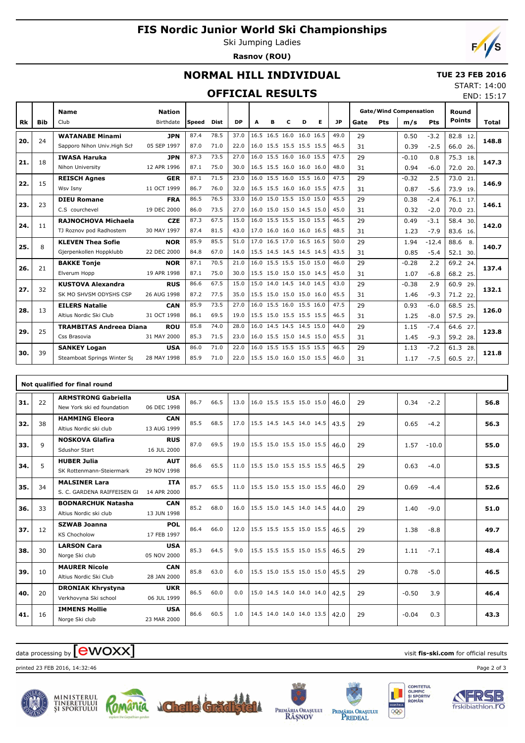# **FIS Nordic Junior World Ski Championships**

Ski Jumping Ladies **Rasnov (ROU)**



END: 15:17

## **NORMAL HILL INDIVIDUAL**

#### **TUE 23 FEB 2016** START: 14:00

### **OFFICIAL RESULTS**

|           |     | <b>Name</b>                    | <b>Nation</b> |              |             |           |                          |   |   |   |   |           |      |     | <b>Gate/Wind Compensation</b> |            | Round         |       |  |
|-----------|-----|--------------------------------|---------------|--------------|-------------|-----------|--------------------------|---|---|---|---|-----------|------|-----|-------------------------------|------------|---------------|-------|--|
| <b>Rk</b> | Bib | Club                           | Birthdate     | <b>Speed</b> | <b>Dist</b> | <b>DP</b> | A                        | в | c | D | Е | <b>JP</b> | Gate | Pts | m/s                           | <b>Pts</b> | <b>Points</b> | Total |  |
|           |     | <b>WATANABE Minami</b>         | <b>JPN</b>    | 87.4         | 78.5        | 37.0      | 16.5 16.5 16.0 16.0 16.5 |   |   |   |   | 49.0      | 29   |     | 0.50                          | $-3.2$     | 82.8<br>12    |       |  |
| 20.       | 24  | Sapporo Nihon Univ. High Sch   | 05 SEP 1997   | 87.0         | 71.0        | 22.0      | 16.0 15.5 15.5 15.5 15.5 |   |   |   |   | 46.5      | 31   |     | 0.39                          | $-2.5$     | 66.0 26.      | 148.8 |  |
| 21.       | 18  | <b>IWASA Haruka</b>            | <b>JPN</b>    | 87.3         | 73.5        | 27.0      | 16.0 15.5 16.0 16.0 15.5 |   |   |   |   | 47.5      | 29   |     | $-0.10$                       | 0.8        | 75.3 18.      | 147.3 |  |
|           |     | Nihon University               | 12 APR 1996   | 87.1         | 75.0        | 30.0      | 16.5 15.5 16.0 16.0 16.0 |   |   |   |   | 48.0      | 31   |     | 0.94                          | $-6.0$     | 72.0 20.      |       |  |
| 22.       | 15  | <b>REISCH Agnes</b>            | <b>GER</b>    | 87.1         | 71.5        | 23.0      | 16.0 15.5 16.0 15.5 16.0 |   |   |   |   | 47.5      | 29   |     | $-0.32$                       | 2.5        | 73.0 21.      | 146.9 |  |
|           |     | Wsv Isny                       | 11 OCT 1999   | 86.7         | 76.0        | 32.0      | 16.5 15.5 16.0 16.0 15.5 |   |   |   |   | 47.5      | 31   |     | 0.87                          | $-5.6$     | 73.9 19.      |       |  |
| 23.       | 23  | <b>DIEU Romane</b>             | <b>FRA</b>    | 86.5         | 76.5        | 33.0      | 16.0 15.0 15.5 15.0 15.0 |   |   |   |   | 45.5      | 29   |     | 0.38                          | $-2.4$     | 76.1 17.      | 146.1 |  |
|           |     | C.S courchevel                 | 19 DEC 2000   | 86.0         | 73.5        | 27.0      | 16.0 15.0 15.0 14.5 15.0 |   |   |   |   | 45.0      | 31   |     | 0.32                          | $-2.0$     | 70.0 23.      |       |  |
| 24.       | 11  | <b>RAJNOCHOVA Michaela</b>     | <b>CZE</b>    | 87.3         | 67.5        | 15.0      | 16.0 15.5 15.5 15.0 15.5 |   |   |   |   | 46.5      | 29   |     | 0.49                          | $-3.1$     | 58.4 30.      | 142.0 |  |
|           |     | TJ Roznov pod Radhostem        | 30 MAY 1997   | 87.4         | 81.5        | 43.0      | 17.0 16.0 16.0 16.0 16.5 |   |   |   |   | 48.5      | 31   |     | 1.23                          | $-7.9$     | 83.6 16.      |       |  |
| 25.       | 8   | <b>KLEVEN Thea Sofie</b>       | <b>NOR</b>    | 85.9         | 85.5        | 51.0      | 17.0 16.5 17.0 16.5 16.5 |   |   |   |   | 50.0      | 29   |     | 1.94                          | $-12.4$    | 88.6<br>8.    | 140.7 |  |
|           |     | Gjerpenkollen Hoppklubb        | 22 DEC 2000   | 84.8         | 67.0        | 14.0      | 15.5 14.5 14.5 14.5 14.5 |   |   |   |   | 43.5      | 31   |     | 0.85                          | $-5.4$     | 52.1 30.      |       |  |
| 26.       | 21  | <b>BAKKE Tonje</b>             | <b>NOR</b>    | 87.1         | 70.5        | 21.0      | 16.0 15.5 15.5 15.0 15.0 |   |   |   |   | 46.0      | 29   |     | $-0.28$                       | 2.2        | 69.2 24.      | 137.4 |  |
|           |     | Elverum Hopp                   | 19 APR 1998   | 87.1         | 75.0        | 30.0      | 15.5 15.0 15.0 15.0 14.5 |   |   |   |   | 45.0      | 31   |     | 1.07                          | $-6.8$     | 68.2 25.      |       |  |
| 27.       | 32  | <b>KUSTOVA Alexandra</b>       | <b>RUS</b>    | 86.6         | 67.5        | 15.0      | 15.0 14.0 14.5 14.0 14.5 |   |   |   |   | 43.0      | 29   |     | $-0.38$                       | 2.9        | 60.9<br>29.   | 132.1 |  |
|           |     | SK MO SHVSM ODYSHS CSP         | 26 AUG 1998   | 87.2         | 77.5        | 35.0      | 15.5 15.0 15.0 15.0 16.0 |   |   |   |   | 45.5      | 31   |     | 1.46                          | $-9.3$     | 71.2 22.      |       |  |
| 28.       | 13  | <b>EILERS Natalie</b>          | <b>CAN</b>    | 85.9         | 73.5        | 27.0      | 16.0 15.5 16.0 15.5 16.0 |   |   |   |   | 47.5      | 29   |     | 0.93                          | $-6.0$     | 68.5 25.      | 126.0 |  |
|           |     | Altius Nordic Ski Club         | 31 OCT 1998   | 86.1         | 69.5        | 19.0      | 15.5 15.0 15.5 15.5 15.5 |   |   |   |   | 46.5      | 31   |     | 1.25                          | $-8.0$     | 57.5 29.      |       |  |
| 29.       | 25  | <b>TRAMBITAS Andreea Diana</b> | <b>ROU</b>    | 85.8         | 74.0        | 28.0      | 16.0 14.5 14.5 14.5 15.0 |   |   |   |   | 44.0      | 29   |     | 1.15                          | $-7.4$     | 64.6<br>27.   | 123.8 |  |
|           |     | Css Brasovia                   | 31 MAY 2000   | 85.3         | 71.5        | 23.0      | 16.0 15.5 15.0 14.5 15.0 |   |   |   |   | 45.5      | 31   |     | 1.45                          | $-9.3$     | 59.2 28.      |       |  |
| 30.       | 39  | <b>SANKEY Logan</b>            | <b>USA</b>    | 86.0         | 71.0        | 22.0      | 16.0 15.5 15.5 15.5 15.5 |   |   |   |   | 46.5      | 29   |     | 1.13                          | $-7.2$     | 61.3<br>28.   | 121.8 |  |
|           |     | Steamboat Springs Winter Sp    | 28 MAY 1998   | 85.9         | 71.0        | 22.0      | 15.5 15.0 16.0 15.0 15.5 |   |   |   |   | 46.0      | 31   |     | 1.17                          | $-7.5$     | 60.5 27.      |       |  |

|     |    | Not qualified for final round                            |                           |      |      |      |                          |  |      |    |                 |     |      |
|-----|----|----------------------------------------------------------|---------------------------|------|------|------|--------------------------|--|------|----|-----------------|-----|------|
| 31. | 22 | <b>ARMSTRONG Gabriella</b><br>New York ski ed foundation | <b>USA</b><br>06 DEC 1998 | 86.7 | 66.5 | 13.0 | 16.0 15.5 15.5 15.0 15.0 |  | 46.0 | 29 | 0.34<br>$-2.2$  |     | 56.8 |
| 32. | 38 | <b>HAMMING Eleora</b><br>Altius Nordic ski club          | <b>CAN</b><br>13 AUG 1999 | 85.5 | 68.5 | 17.0 | 15.5 14.5 14.5 14.0 14.5 |  | 43.5 | 29 | 0.65<br>$-4.2$  |     | 56.3 |
| 33. | 9  | <b>NOSKOVA Glafira</b><br><b>Sdushor Start</b>           | <b>RUS</b><br>16 JUL 2000 | 87.0 | 69.5 | 19.0 | 15.5 15.0 15.5 15.0 15.5 |  | 46.0 | 29 | 1.57<br>$-10.0$ |     | 55.0 |
| 34. | 5  | <b>HUBER Julia</b><br>SK Rottenmann-Steiermark           | <b>AUT</b><br>29 NOV 1998 | 86.6 | 65.5 | 11.0 | 15.5 15.0 15.5 15.5 15.5 |  | 46.5 | 29 | 0.63<br>$-4.0$  |     | 53.5 |
| 35. | 34 | <b>MALSINER Lara</b><br>S. C. GARDENA RAIFFEISEN GL      | <b>ITA</b><br>14 APR 2000 | 85.7 | 65.5 | 11.0 | 15.5 15.0 15.5 15.0 15.5 |  | 46.0 | 29 | 0.69<br>$-4.4$  |     | 52.6 |
| 36. | 33 | <b>BODNARCHUK Natasha</b><br>Altius Nordic ski club      | <b>CAN</b><br>13 JUN 1998 | 85.2 | 68.0 | 16.0 | 15.5 15.0 14.5 14.0 14.5 |  | 44.0 | 29 | 1.40<br>$-9.0$  |     | 51.0 |
| 37. | 12 | <b>SZWAB Joanna</b><br><b>KS Chocholow</b>               | <b>POL</b><br>17 FEB 1997 | 86.4 | 66.0 | 12.0 | 15.5 15.5 15.5 15.0 15.5 |  | 46.5 | 29 | $-8.8$<br>1.38  |     | 49.7 |
| 38. | 30 | <b>LARSON Cara</b><br>Norge Ski club                     | <b>USA</b><br>05 NOV 2000 | 85.3 | 64.5 | 9.0  | 15.5 15.5 15.5 15.0 15.5 |  | 46.5 | 29 | $-7.1$<br>1.11  |     | 48.4 |
| 39. | 10 | <b>MAURER Nicole</b><br>Altius Nordic Ski Club           | <b>CAN</b><br>28 JAN 2000 | 85.8 | 63.0 | 6.0  | 15.5 15.0 15.5 15.0 15.0 |  | 45.5 | 29 | $-5.0$<br>0.78  |     | 46.5 |
| 40. | 20 | <b>DRONIAK Khrystyna</b><br>Verkhovyna Ski school        | <b>UKR</b><br>06 JUL 1999 | 86.5 | 60.0 | 0.0  | 15.0 14.5 14.0 14.0 14.0 |  | 42.5 | 29 | $-0.50$         | 3.9 | 46.4 |
| 41. | 16 | <b>IMMENS Mollie</b><br>Norge Ski club                   | <b>USA</b><br>23 MAR 2000 | 86.6 | 60.5 | 1.0  | 14.5 14.0 14.0 14.0 13.5 |  | 42.0 | 29 | $-0.04$         | 0.3 | 43.3 |

# data processing by **CWOXX** and  $\overline{C}$  and  $\overline{C}$  and  $\overline{C}$  and  $\overline{C}$  and  $\overline{C}$  and  $\overline{C}$  and  $\overline{C}$  and  $\overline{C}$  and  $\overline{C}$  and  $\overline{C}$  and  $\overline{C}$  and  $\overline{C}$  and  $\overline{C}$  and  $\overline{C}$  and  $\overline{C}$

printed 23 FEB 2016, 14:32:46 Page 2 of 3